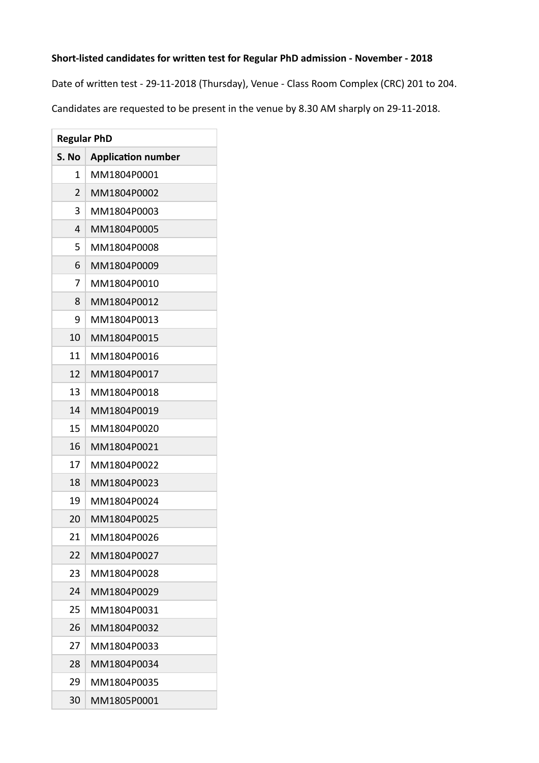## Short-listed candidates for written test for Regular PhD admission - November - 2018

Date of written test - 29-11-2018 (Thursday), Venue - Class Room Complex (CRC) 201 to 204.

Candidates are requested to be present in the venue by 8.30 AM sharply on 29-11-2018.

| <b>Regular PhD</b> |                           |
|--------------------|---------------------------|
| S. No              | <b>Application number</b> |
| 1                  | MM1804P0001               |
| $\overline{2}$     | MM1804P0002               |
| 3                  | MM1804P0003               |
| 4                  | MM1804P0005               |
| 5                  | MM1804P0008               |
| 6                  | MM1804P0009               |
| 7                  | MM1804P0010               |
| 8                  | MM1804P0012               |
| 9                  | MM1804P0013               |
| 10                 | MM1804P0015               |
| 11                 | MM1804P0016               |
| 12                 | MM1804P0017               |
| 13                 | MM1804P0018               |
| 14                 | MM1804P0019               |
| 15                 | MM1804P0020               |
| 16                 | MM1804P0021               |
| 17                 | MM1804P0022               |
| 18                 | MM1804P0023               |
| 19                 | MM1804P0024               |
| 20                 | MM1804P0025               |
| 21                 | MM1804P0026               |
| 22                 | MM1804P0027               |
| 23                 | MM1804P0028               |
| 24                 | MM1804P0029               |
| 25                 | MM1804P0031               |
| 26                 | MM1804P0032               |
| 27                 | MM1804P0033               |
| 28                 | MM1804P0034               |
| 29                 | MM1804P0035               |
| 30                 | MM1805P0001               |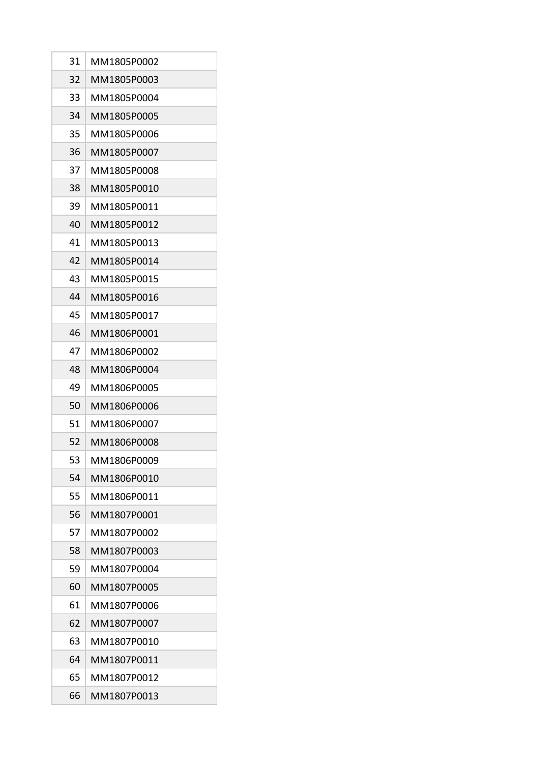| 31 | MM1805P0002 |
|----|-------------|
| 32 | MM1805P0003 |
| 33 | MM1805P0004 |
| 34 | MM1805P0005 |
| 35 | MM1805P0006 |
| 36 | MM1805P0007 |
| 37 | MM1805P0008 |
| 38 | MM1805P0010 |
| 39 | MM1805P0011 |
| 40 | MM1805P0012 |
| 41 | MM1805P0013 |
| 42 | MM1805P0014 |
| 43 | MM1805P0015 |
| 44 | MM1805P0016 |
| 45 | MM1805P0017 |
| 46 | MM1806P0001 |
| 47 | MM1806P0002 |
| 48 | MM1806P0004 |
| 49 | MM1806P0005 |
| 50 | MM1806P0006 |
| 51 | MM1806P0007 |
| 52 | MM1806P0008 |
| 53 | MM1806P0009 |
| 54 | MM1806P0010 |
| 55 | MM1806P0011 |
| 56 | MM1807P0001 |
| 57 | MM1807P0002 |
| 58 | MM1807P0003 |
| 59 | MM1807P0004 |
| 60 | MM1807P0005 |
| 61 | MM1807P0006 |
| 62 | MM1807P0007 |
| 63 | MM1807P0010 |
| 64 | MM1807P0011 |
| 65 | MM1807P0012 |
| 66 | MM1807P0013 |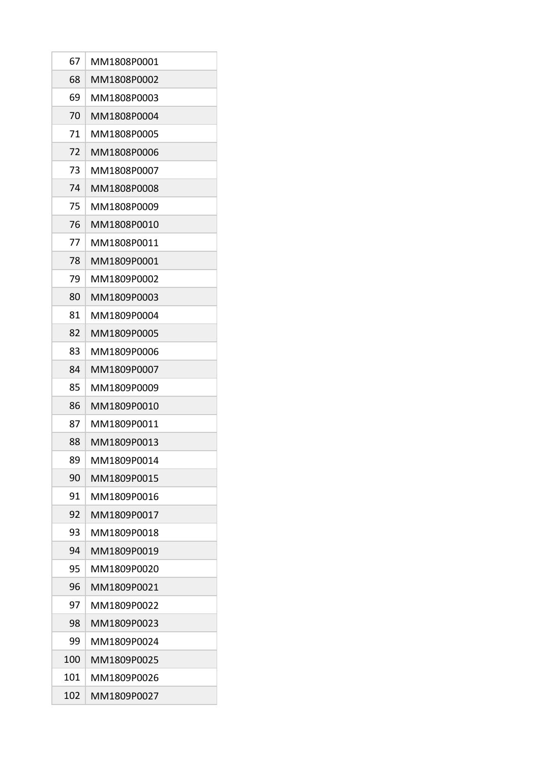| 67  | MM1808P0001 |
|-----|-------------|
| 68  | MM1808P0002 |
| 69  | MM1808P0003 |
| 70  | MM1808P0004 |
| 71  | MM1808P0005 |
| 72  | MM1808P0006 |
| 73  | MM1808P0007 |
| 74  | MM1808P0008 |
| 75  | MM1808P0009 |
| 76  | MM1808P0010 |
| 77  | MM1808P0011 |
| 78  | MM1809P0001 |
| 79  | MM1809P0002 |
| 80  | MM1809P0003 |
| 81  | MM1809P0004 |
| 82  | MM1809P0005 |
| 83  | MM1809P0006 |
| 84  | MM1809P0007 |
| 85  | MM1809P0009 |
| 86  | MM1809P0010 |
| 87  | MM1809P0011 |
| 88  | MM1809P0013 |
| 89  | MM1809P0014 |
| 90  | MM1809P0015 |
| 91  | MM1809P0016 |
| 92  | MM1809P0017 |
| 93  | MM1809P0018 |
| 94  | MM1809P0019 |
| 95  | MM1809P0020 |
| 96  | MM1809P0021 |
| 97  | MM1809P0022 |
| 98  | MM1809P0023 |
| 99  | MM1809P0024 |
| 100 | MM1809P0025 |
| 101 | MM1809P0026 |
| 102 | MM1809P0027 |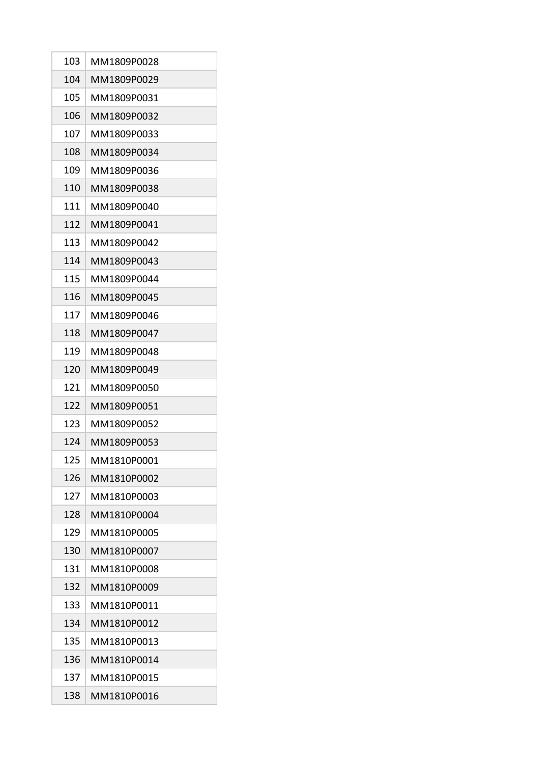| 103 | MM1809P0028 |
|-----|-------------|
| 104 | MM1809P0029 |
| 105 | MM1809P0031 |
| 106 | MM1809P0032 |
| 107 | MM1809P0033 |
| 108 | MM1809P0034 |
| 109 | MM1809P0036 |
| 110 | MM1809P0038 |
| 111 | MM1809P0040 |
| 112 | MM1809P0041 |
| 113 | MM1809P0042 |
| 114 | MM1809P0043 |
| 115 | MM1809P0044 |
| 116 | MM1809P0045 |
| 117 | MM1809P0046 |
| 118 | MM1809P0047 |
| 119 | MM1809P0048 |
| 120 | MM1809P0049 |
| 121 | MM1809P0050 |
| 122 | MM1809P0051 |
| 123 | MM1809P0052 |
| 124 | MM1809P0053 |
| 125 | MM1810P0001 |
| 126 | MM1810P0002 |
| 127 | MM1810P0003 |
| 128 | MM1810P0004 |
| 129 | MM1810P0005 |
| 130 | MM1810P0007 |
| 131 | MM1810P0008 |
| 132 | MM1810P0009 |
| 133 | MM1810P0011 |
| 134 | MM1810P0012 |
| 135 | MM1810P0013 |
| 136 | MM1810P0014 |
| 137 | MM1810P0015 |
| 138 | MM1810P0016 |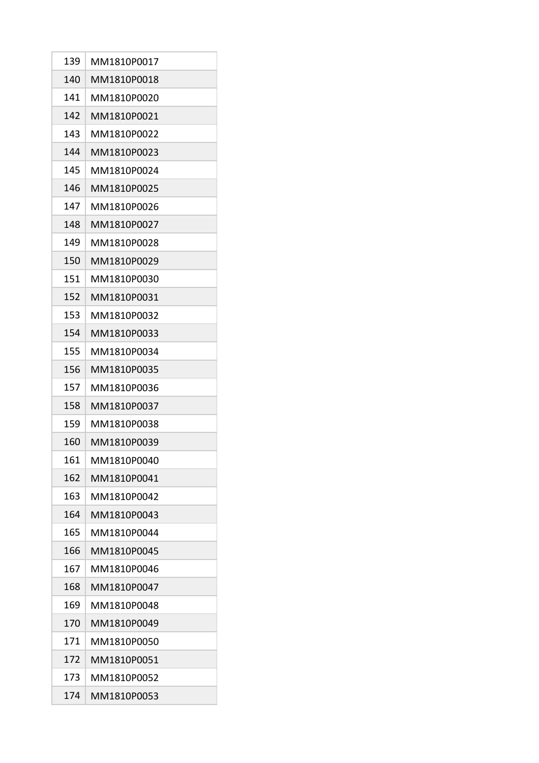| 139 | MM1810P0017 |
|-----|-------------|
| 140 | MM1810P0018 |
| 141 | MM1810P0020 |
| 142 | MM1810P0021 |
| 143 | MM1810P0022 |
| 144 | MM1810P0023 |
| 145 | MM1810P0024 |
| 146 | MM1810P0025 |
| 147 | MM1810P0026 |
| 148 | MM1810P0027 |
| 149 | MM1810P0028 |
| 150 | MM1810P0029 |
| 151 | MM1810P0030 |
| 152 | MM1810P0031 |
| 153 | MM1810P0032 |
| 154 | MM1810P0033 |
| 155 | MM1810P0034 |
| 156 | MM1810P0035 |
| 157 | MM1810P0036 |
| 158 | MM1810P0037 |
| 159 | MM1810P0038 |
| 160 | MM1810P0039 |
| 161 | MM1810P0040 |
| 162 | MM1810P0041 |
| 163 | MM1810P0042 |
| 164 | MM1810P0043 |
| 165 | MM1810P0044 |
| 166 | MM1810P0045 |
| 167 | MM1810P0046 |
| 168 | MM1810P0047 |
| 169 | MM1810P0048 |
| 170 | MM1810P0049 |
| 171 | MM1810P0050 |
| 172 | MM1810P0051 |
| 173 | MM1810P0052 |
| 174 | MM1810P0053 |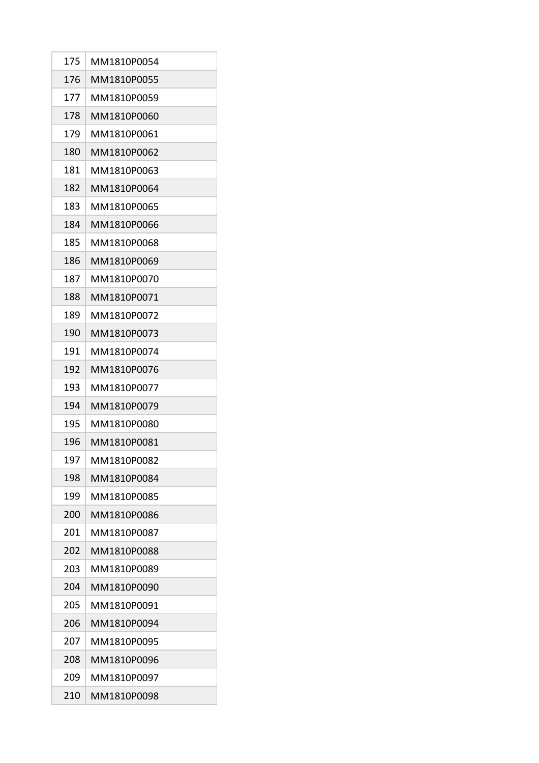| 175 | MM1810P0054 |
|-----|-------------|
| 176 | MM1810P0055 |
| 177 | MM1810P0059 |
| 178 | MM1810P0060 |
| 179 | MM1810P0061 |
| 180 | MM1810P0062 |
| 181 | MM1810P0063 |
| 182 | MM1810P0064 |
| 183 | MM1810P0065 |
| 184 | MM1810P0066 |
| 185 | MM1810P0068 |
| 186 | MM1810P0069 |
| 187 | MM1810P0070 |
| 188 | MM1810P0071 |
| 189 | MM1810P0072 |
| 190 | MM1810P0073 |
| 191 | MM1810P0074 |
| 192 | MM1810P0076 |
| 193 | MM1810P0077 |
| 194 | MM1810P0079 |
| 195 | MM1810P0080 |
| 196 | MM1810P0081 |
| 197 | MM1810P0082 |
| 198 | MM1810P0084 |
| 199 | MM1810P0085 |
| 200 | MM1810P0086 |
| 201 | MM1810P0087 |
| 202 | MM1810P0088 |
| 203 | MM1810P0089 |
| 204 | MM1810P0090 |
| 205 | MM1810P0091 |
| 206 | MM1810P0094 |
| 207 | MM1810P0095 |
| 208 | MM1810P0096 |
| 209 | MM1810P0097 |
| 210 | MM1810P0098 |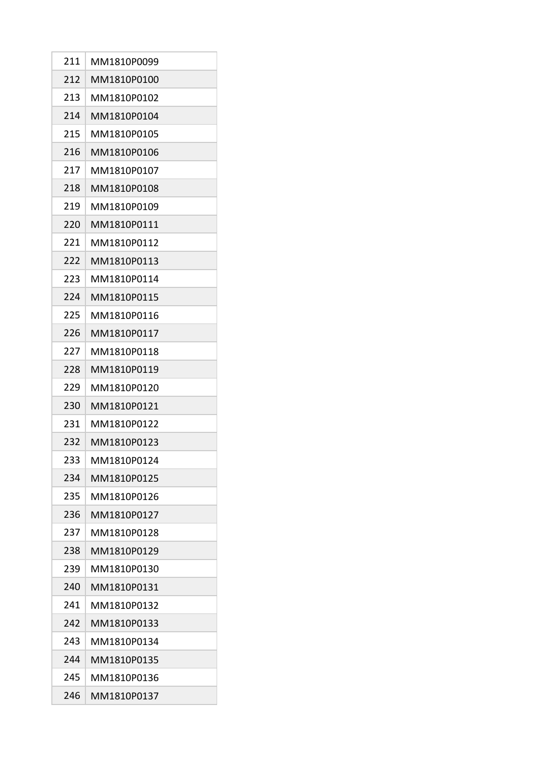| 211 | MM1810P0099 |
|-----|-------------|
| 212 | MM1810P0100 |
| 213 | MM1810P0102 |
| 214 | MM1810P0104 |
| 215 | MM1810P0105 |
| 216 | MM1810P0106 |
| 217 | MM1810P0107 |
| 218 | MM1810P0108 |
| 219 | MM1810P0109 |
| 220 | MM1810P0111 |
| 221 | MM1810P0112 |
| 222 | MM1810P0113 |
| 223 | MM1810P0114 |
| 224 | MM1810P0115 |
| 225 | MM1810P0116 |
| 226 | MM1810P0117 |
| 227 | MM1810P0118 |
| 228 | MM1810P0119 |
| 229 | MM1810P0120 |
| 230 | MM1810P0121 |
| 231 | MM1810P0122 |
| 232 | MM1810P0123 |
| 233 | MM1810P0124 |
| 234 | MM1810P0125 |
| 235 | MM1810P0126 |
| 236 | MM1810P0127 |
| 237 | MM1810P0128 |
| 238 | MM1810P0129 |
| 239 | MM1810P0130 |
| 240 | MM1810P0131 |
| 241 | MM1810P0132 |
| 242 | MM1810P0133 |
| 243 | MM1810P0134 |
| 244 | MM1810P0135 |
| 245 | MM1810P0136 |
| 246 | MM1810P0137 |